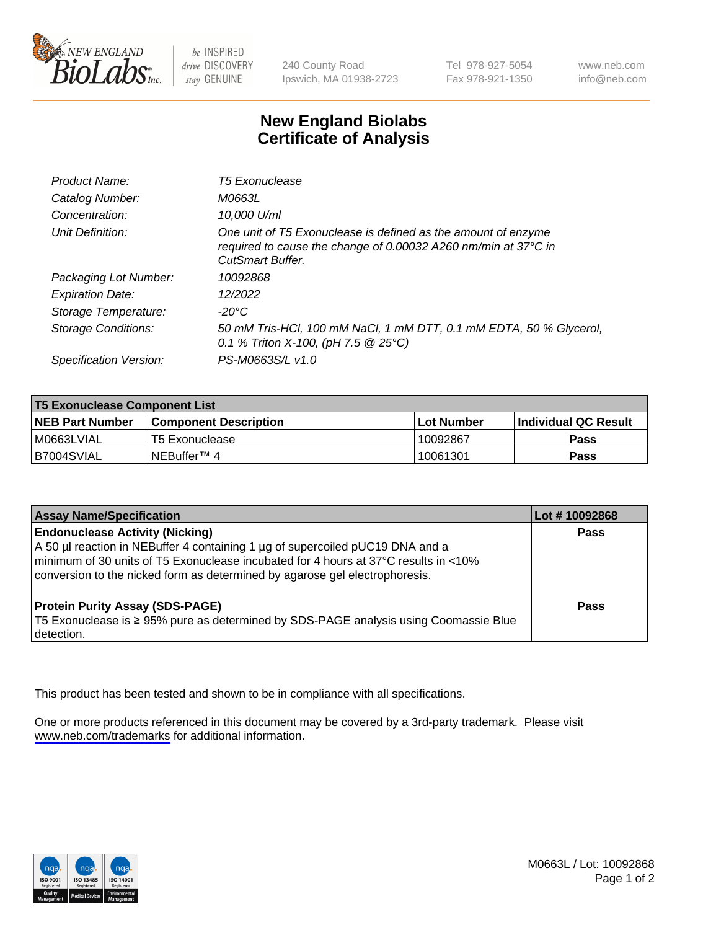

be INSPIRED drive DISCOVERY stay GENUINE

240 County Road Ipswich, MA 01938-2723 Tel 978-927-5054 Fax 978-921-1350

www.neb.com info@neb.com

## **New England Biolabs Certificate of Analysis**

| Product Name:              | <b>T5 Exonuclease</b>                                                                                                                                      |
|----------------------------|------------------------------------------------------------------------------------------------------------------------------------------------------------|
| Catalog Number:            | M0663L                                                                                                                                                     |
| Concentration:             | 10,000 U/ml                                                                                                                                                |
| Unit Definition:           | One unit of T5 Exonuclease is defined as the amount of enzyme<br>required to cause the change of 0.00032 A260 nm/min at 37°C in<br><b>CutSmart Buffer.</b> |
| Packaging Lot Number:      | 10092868                                                                                                                                                   |
| <b>Expiration Date:</b>    | 12/2022                                                                                                                                                    |
| Storage Temperature:       | $-20^{\circ}$ C                                                                                                                                            |
| <b>Storage Conditions:</b> | 50 mM Tris-HCl, 100 mM NaCl, 1 mM DTT, 0.1 mM EDTA, 50 % Glycerol,<br>0.1 % Triton X-100, (pH 7.5 $@25°C$ )                                                |
| Specification Version:     | PS-M0663S/L v1.0                                                                                                                                           |

| <b>T5 Exonuclease Component List</b> |                         |             |                             |  |
|--------------------------------------|-------------------------|-------------|-----------------------------|--|
| <b>NEB Part Number</b>               | l Component Description | ⊺Lot Number | <b>Individual QC Result</b> |  |
| I M0663LVIAL                         | T5 Exonuclease          | 10092867    | <b>Pass</b>                 |  |
| IB7004SVIAL                          | l NEBuffer™ 4∶          | 10061301    | <b>Pass</b>                 |  |

| <b>Assay Name/Specification</b>                                                                                                                                                                                                                                                               | Lot # 10092868 |
|-----------------------------------------------------------------------------------------------------------------------------------------------------------------------------------------------------------------------------------------------------------------------------------------------|----------------|
| <b>Endonuclease Activity (Nicking)</b><br>A 50 µl reaction in NEBuffer 4 containing 1 µg of supercoiled pUC19 DNA and a<br>minimum of 30 units of T5 Exonuclease incubated for 4 hours at 37°C results in <10%<br>conversion to the nicked form as determined by agarose gel electrophoresis. | <b>Pass</b>    |
| <b>Protein Purity Assay (SDS-PAGE)</b><br>T5 Exonuclease is ≥ 95% pure as determined by SDS-PAGE analysis using Coomassie Blue<br>detection.                                                                                                                                                  | Pass           |

This product has been tested and shown to be in compliance with all specifications.

One or more products referenced in this document may be covered by a 3rd-party trademark. Please visit <www.neb.com/trademarks>for additional information.